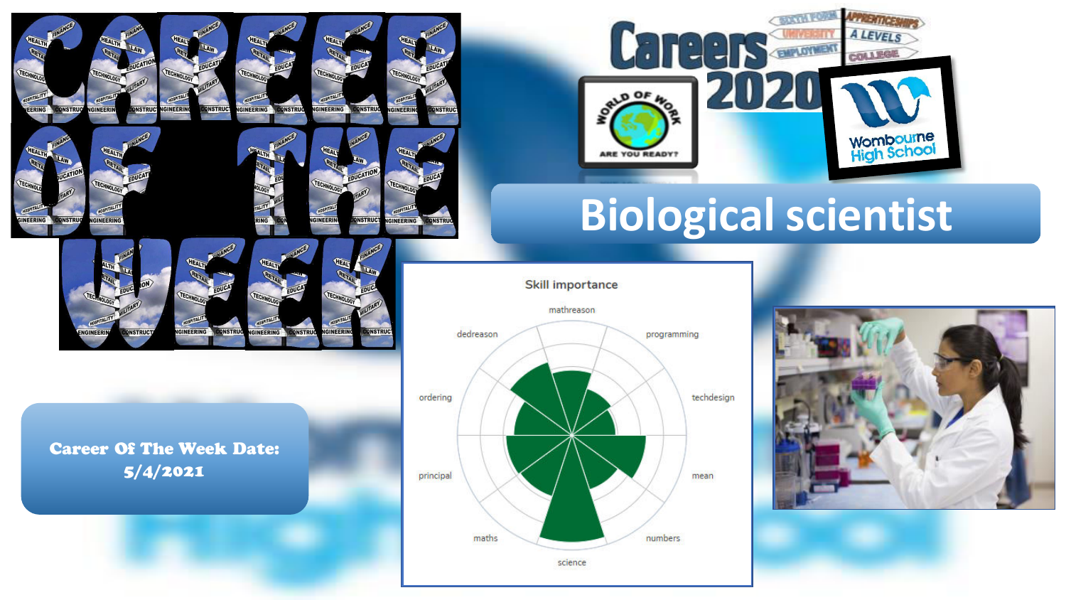

**GINEERING** 

**INSTRU** 



**ONSTRUC** 



# **Biological scientist**

#### **Skill importance**



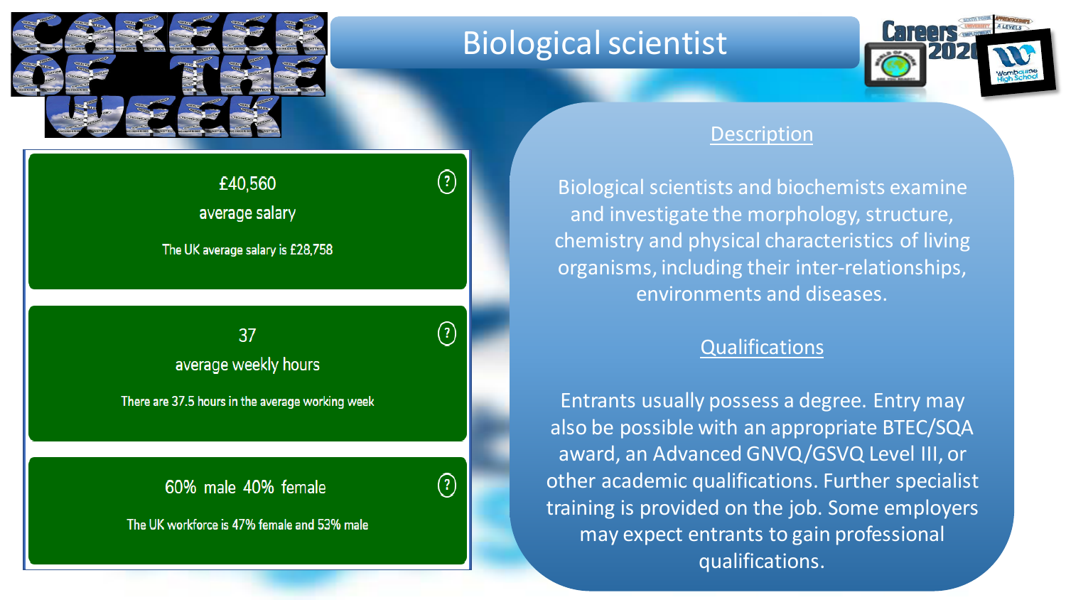

### Biological scientist



#### Description

Biological scientists and biochemists examine and investigate the morphology, structure, chemistry and physical characteristics of living organisms, including their inter-relationships, environments and diseases.

### **Qualifications**

Entrants usually possess a degree. Entry may also be possible with an appropriate BTEC/SQA award, an Advanced GNVQ/GSVQ Level III, or other academic qualifications. Further specialist training is provided on the job. Some employers may expect entrants to gain professional qualifications.

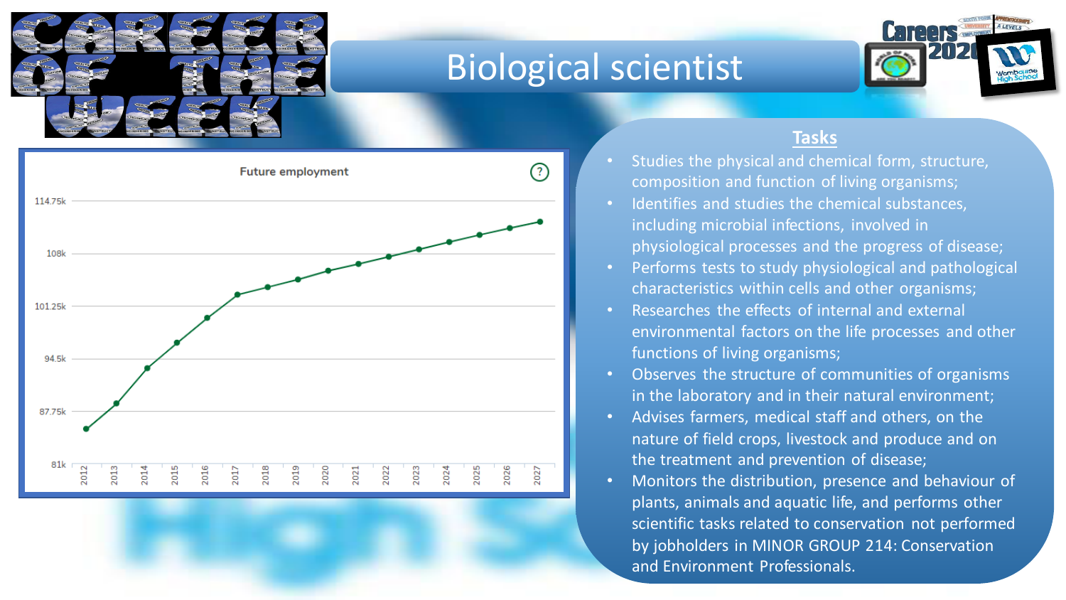

## Biological scientist





#### **Tasks**

- Studies the physical and chemical form, structure, composition and function of living organisms;
- Identifies and studies the chemical substances, including microbial infections, involved in physiological processes and the progress of disease;
- Performs tests to study physiological and pathological characteristics within cells and other organisms;
- Researches the effects of internal and external environmental factors on the life processes and other functions of living organisms;
- Observes the structure of communities of organisms in the laboratory and in their natural environment;
- Advises farmers, medical staff and others, on the nature of field crops, livestock and produce and on the treatment and prevention of disease;
- Monitors the distribution, presence and behaviour of plants, animals and aquatic life, and performs other scientific tasks related to conservation not performed by jobholders in MINOR GROUP 214: Conservation and Environment Professionals.